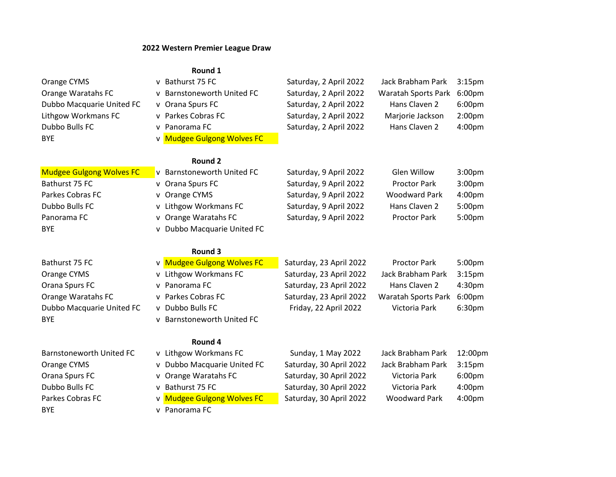## 2022 Western Premier League Draw

# Round 1

| Orange CYMS                     | v Bathurst 75 FC                     | Saturday, 2 April 2022  | Jack Brabham Park          | 3:15 <sub>pm</sub> |
|---------------------------------|--------------------------------------|-------------------------|----------------------------|--------------------|
| Orange Waratahs FC              | <b>Barnstoneworth United FC</b>      | Saturday, 2 April 2022  | <b>Waratah Sports Park</b> | 6:00pm             |
|                                 | v                                    |                         | Hans Claven 2              |                    |
| Dubbo Macquarie United FC       | v Orana Spurs FC                     | Saturday, 2 April 2022  |                            | 6:00 <sub>pm</sub> |
| Lithgow Workmans FC             | v Parkes Cobras FC                   | Saturday, 2 April 2022  | Marjorie Jackson           | 2:00 <sub>pm</sub> |
| Dubbo Bulls FC                  | Panorama FC<br>v.                    | Saturday, 2 April 2022  | Hans Claven 2              | 4:00pm             |
| <b>BYE</b>                      | <b>Mudgee Gulgong Wolves FC</b><br>v |                         |                            |                    |
|                                 | <b>Round 2</b>                       |                         |                            |                    |
| <b>Mudgee Gulgong Wolves FC</b> | v Barnstoneworth United FC           | Saturday, 9 April 2022  | Glen Willow                | 3:00 <sub>pm</sub> |
| Bathurst 75 FC                  | v Orana Spurs FC                     | Saturday, 9 April 2022  | <b>Proctor Park</b>        | 3:00pm             |
| Parkes Cobras FC                | v Orange CYMS                        | Saturday, 9 April 2022  | <b>Woodward Park</b>       | 4:00pm             |
| Dubbo Bulls FC                  | Lithgow Workmans FC<br>v             | Saturday, 9 April 2022  | Hans Claven 2              | 5:00pm             |
| Panorama FC                     | v Orange Waratahs FC                 | Saturday, 9 April 2022  | <b>Proctor Park</b>        | 5:00pm             |
| <b>BYE</b>                      | v Dubbo Macquarie United FC          |                         |                            |                    |
|                                 |                                      |                         |                            |                    |
|                                 | Round 3                              |                         |                            |                    |
| Bathurst 75 FC                  | v Mudgee Gulgong Wolves FC           | Saturday, 23 April 2022 | <b>Proctor Park</b>        | 5:00pm             |
| Orange CYMS                     | Lithgow Workmans FC<br>V             | Saturday, 23 April 2022 | Jack Brabham Park          | 3:15 <sub>pm</sub> |
| Orana Spurs FC                  | Panorama FC<br>v                     | Saturday, 23 April 2022 | Hans Claven 2              | 4:30pm             |
| Orange Waratahs FC              | Parkes Cobras FC<br>v.               | Saturday, 23 April 2022 | <b>Waratah Sports Park</b> | 6:00pm             |
| Dubbo Macquarie United FC       | v Dubbo Bulls FC                     | Friday, 22 April 2022   | Victoria Park              | 6:30pm             |
| <b>BYE</b>                      | <b>Barnstoneworth United FC</b><br>v |                         |                            |                    |
|                                 |                                      |                         |                            |                    |
|                                 | Round 4                              |                         |                            |                    |
| Barnstoneworth United FC        | v Lithgow Workmans FC                | Sunday, 1 May 2022      | Jack Brabham Park          | 12:00pm            |
| Orange CYMS                     | v Dubbo Macquarie United FC          | Saturday, 30 April 2022 | Jack Brabham Park          | 3:15 <sub>pm</sub> |
| Orana Spurs FC                  | Orange Waratahs FC<br>v.             | Saturday, 30 April 2022 | Victoria Park              | 6:00pm             |
| Dubbo Bulls FC                  |                                      | Saturday, 30 April 2022 | Victoria Park              | 4:00pm             |
|                                 | Bathurst 75 FC<br>v                  |                         |                            |                    |
| Parkes Cobras FC                | v Mudgee Gulgong Wolves FC           | Saturday, 30 April 2022 | <b>Woodward Park</b>       | 4:00pm             |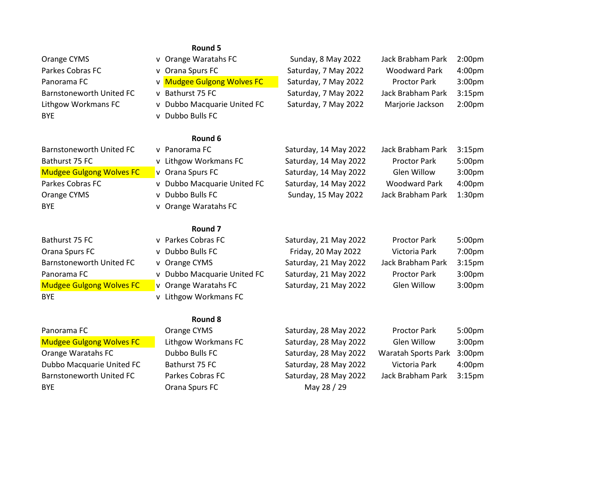|                                 | Round 5                        |                       |                      |                    |
|---------------------------------|--------------------------------|-----------------------|----------------------|--------------------|
| Orange CYMS                     | v Orange Waratahs FC           | Sunday, 8 May 2022    | Jack Brabham Park    | 2:00 <sub>pm</sub> |
| Parkes Cobras FC                | Orana Spurs FC<br>v            | Saturday, 7 May 2022  | <b>Woodward Park</b> | 4:00pm             |
| Panorama FC                     | v Mudgee Gulgong Wolves FC     | Saturday, 7 May 2022  | <b>Proctor Park</b>  | 3:00pm             |
| <b>Barnstoneworth United FC</b> | Bathurst 75 FC<br>v            | Saturday, 7 May 2022  | Jack Brabham Park    | 3:15 <sub>pm</sub> |
| Lithgow Workmans FC             | v Dubbo Macquarie United FC    | Saturday, 7 May 2022  | Marjorie Jackson     | 2:00 <sub>pm</sub> |
| <b>BYE</b>                      | v Dubbo Bulls FC               |                       |                      |                    |
|                                 | Round 6                        |                       |                      |                    |
| <b>Barnstoneworth United FC</b> | v Panorama FC                  | Saturday, 14 May 2022 | Jack Brabham Park    | 3:15 <sub>pm</sub> |
| Bathurst 75 FC                  | v Lithgow Workmans FC          | Saturday, 14 May 2022 | <b>Proctor Park</b>  | 5:00pm             |
| <b>Mudgee Gulgong Wolves FC</b> | v Orana Spurs FC               | Saturday, 14 May 2022 | Glen Willow          | 3:00pm             |
| Parkes Cobras FC                | v Dubbo Macquarie United FC    | Saturday, 14 May 2022 | <b>Woodward Park</b> | 4:00pm             |
| Orange CYMS                     | v Dubbo Bulls FC               | Sunday, 15 May 2022   | Jack Brabham Park    | 1:30pm             |
| <b>BYE</b>                      | v Orange Waratahs FC           |                       |                      |                    |
|                                 | Round <sub>7</sub>             |                       |                      |                    |
| Bathurst 75 FC                  | v Parkes Cobras FC             | Saturday, 21 May 2022 | <b>Proctor Park</b>  | 5:00pm             |
| Orana Spurs FC                  | Dubbo Bulls FC<br>$\mathsf{v}$ | Friday, 20 May 2022   | Victoria Park        | 7:00pm             |
| <b>Barnstoneworth United FC</b> | v Orange CYMS                  | Saturday, 21 May 2022 | Jack Brabham Park    | 3:15 <sub>pm</sub> |
| Panorama FC                     | v Dubbo Macquarie United FC    | Saturday, 21 May 2022 | <b>Proctor Park</b>  | 3:00pm             |
| <b>Mudgee Gulgong Wolves FC</b> | v Orange Waratahs FC           | Saturday, 21 May 2022 | Glen Willow          | 3:00pm             |
| <b>BYE</b>                      | v Lithgow Workmans FC          |                       |                      |                    |
|                                 | Round 8                        |                       |                      |                    |
| Panorama FC                     | Orange CYMS                    | Saturday, 28 May 2022 | <b>Proctor Park</b>  | 5:00pm             |
| <b>Mudgee Gulgong Wolves FC</b> | Lithgow Workmans FC            | Saturday, 28 May 2022 | Glen Willow          | 3:00pm             |
| Orange Waratahs FC              | Dubbo Bulls FC                 | Saturday, 28 May 2022 | Waratah Sports Park  | 3:00 <sub>pm</sub> |
| Dubbo Macquarie United FC       | Bathurst 75 FC                 | Saturday, 28 May 2022 | Victoria Park        | 4:00pm             |
| <b>Barnstoneworth United FC</b> | Parkes Cobras FC               | Saturday, 28 May 2022 | Jack Brabham Park    | 3:15 <sub>pm</sub> |

BYE **BYE Orana Spurs FC May 28 / 29**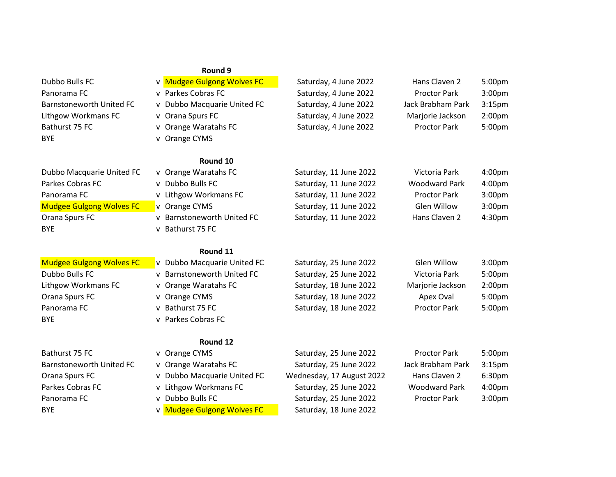|                                 | Round 9                                         |                           |                      |                    |
|---------------------------------|-------------------------------------------------|---------------------------|----------------------|--------------------|
| Dubbo Bulls FC                  | v Mudgee Gulgong Wolves FC                      | Saturday, 4 June 2022     | Hans Claven 2        | 5:00pm             |
| Panorama FC                     | v Parkes Cobras FC                              | Saturday, 4 June 2022     | <b>Proctor Park</b>  | 3:00 <sub>pm</sub> |
| <b>Barnstoneworth United FC</b> | v Dubbo Macquarie United FC                     | Saturday, 4 June 2022     | Jack Brabham Park    | 3:15 <sub>pm</sub> |
| Lithgow Workmans FC             | v Orana Spurs FC                                | Saturday, 4 June 2022     | Marjorie Jackson     | 2:00 <sub>pm</sub> |
| Bathurst 75 FC                  | v Orange Waratahs FC                            | Saturday, 4 June 2022     | <b>Proctor Park</b>  | 5:00pm             |
| <b>BYE</b>                      | v Orange CYMS                                   |                           |                      |                    |
|                                 | Round 10                                        |                           |                      |                    |
| Dubbo Macquarie United FC       | v Orange Waratahs FC                            | Saturday, 11 June 2022    | Victoria Park        | 4:00pm             |
| Parkes Cobras FC                | Dubbo Bulls FC<br>$\mathsf{v}$                  | Saturday, 11 June 2022    | <b>Woodward Park</b> | 4:00pm             |
| Panorama FC                     | v Lithgow Workmans FC                           | Saturday, 11 June 2022    | <b>Proctor Park</b>  | 3:00 <sub>pm</sub> |
| <b>Mudgee Gulgong Wolves FC</b> | v Orange CYMS                                   | Saturday, 11 June 2022    | Glen Willow          | 3:00 <sub>pm</sub> |
| Orana Spurs FC                  | <b>Barnstoneworth United FC</b><br>v            | Saturday, 11 June 2022    | Hans Claven 2        | 4:30pm             |
| <b>BYE</b>                      | Bathurst 75 FC<br>v                             |                           |                      |                    |
|                                 | Round 11                                        |                           |                      |                    |
| <b>Mudgee Gulgong Wolves FC</b> | v Dubbo Macquarie United FC                     | Saturday, 25 June 2022    | Glen Willow          | 3:00 <sub>pm</sub> |
| Dubbo Bulls FC                  | <b>Barnstoneworth United FC</b><br>$\mathsf{v}$ | Saturday, 25 June 2022    | Victoria Park        | 5:00pm             |
| Lithgow Workmans FC             | Orange Waratahs FC<br>v                         | Saturday, 18 June 2022    | Marjorie Jackson     | 2:00 <sub>pm</sub> |
| Orana Spurs FC                  | v Orange CYMS                                   | Saturday, 18 June 2022    | Apex Oval            | 5:00pm             |
| Panorama FC                     | Bathurst 75 FC<br>v                             | Saturday, 18 June 2022    | <b>Proctor Park</b>  | 5:00pm             |
| <b>BYE</b>                      | v Parkes Cobras FC                              |                           |                      |                    |
|                                 | Round 12                                        |                           |                      |                    |
| Bathurst 75 FC                  | v Orange CYMS                                   | Saturday, 25 June 2022    | <b>Proctor Park</b>  | 5:00pm             |
| Barnstoneworth United FC        | v Orange Waratahs FC                            | Saturday, 25 June 2022    | Jack Brabham Park    | 3:15 <sub>pm</sub> |
| Orana Spurs FC                  | Dubbo Macquarie United FC<br>v                  | Wednesday, 17 August 2022 | Hans Claven 2        | 6:30pm             |
| Parkes Cobras FC                | Lithgow Workmans FC<br>v                        | Saturday, 25 June 2022    | <b>Woodward Park</b> | 4:00pm             |
| Panorama FC                     | Dubbo Bulls FC<br>v                             | Saturday, 25 June 2022    | <b>Proctor Park</b>  | 3:00pm             |
| <b>BYE</b>                      | v Mudgee Gulgong Wolves FC                      | Saturday, 18 June 2022    |                      |                    |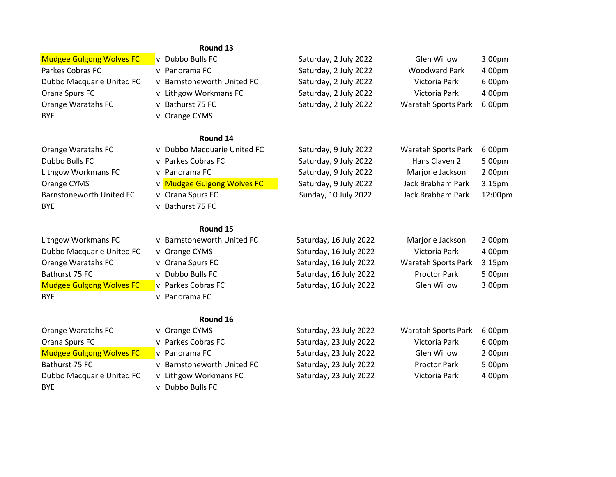### Round 13

BYE v Orange CYMS

# BYE v Bathurst 75 FC

## Round 14

| .                          |                       |                            |                    |
|----------------------------|-----------------------|----------------------------|--------------------|
| v Dubbo Bulls FC           | Saturday, 2 July 2022 | Glen Willow                | 3:00 <sub>pm</sub> |
| v Panorama FC              | Saturday, 2 July 2022 | <b>Woodward Park</b>       | 4:00pm             |
| v Barnstoneworth United FC | Saturday, 2 July 2022 | Victoria Park              | 6:00 <sub>pm</sub> |
| v Lithgow Workmans FC      | Saturday, 2 July 2022 | Victoria Park              | 4:00pm             |
| v Bathurst 75 FC           | Saturday, 2 July 2022 | <b>Waratah Sports Park</b> | 6:00 <sub>pm</sub> |
|                            |                       |                            |                    |

| Orange Waratahs FC       |                  | v Dubbo Macquarie United FC | Saturday, 9 July 2022 | Waratah Sports Park | 6:00 <sub>pm</sub> |
|--------------------------|------------------|-----------------------------|-----------------------|---------------------|--------------------|
| Dubbo Bulls FC           |                  | v Parkes Cobras FC          | Saturday, 9 July 2022 | Hans Claven 2       | 5:00 <sub>pm</sub> |
| Lithgow Workmans FC      | v Panorama FC    |                             | Saturday, 9 July 2022 | Marjorie Jackson    | 2:00 <sub>pm</sub> |
| Orange CYMS              |                  | v Mudgee Gulgong Wolves FC  | Saturday, 9 July 2022 | Jack Brabham Park   | 3:15 <sub>pm</sub> |
| Barnstoneworth United FC | v Orana Spurs FC |                             | Sunday, 10 July 2022  | Jack Brabham Park   | 12:00pm            |
| <b>BYE</b>               | v Bathurst 75 FC |                             |                       |                     |                    |

# Round 15

| Lithgow Workmans FC             | v Barnstoneworth United FC | Saturday, 16 July 2022 | Marjorie Jackson           | 2:00 <sub>pm</sub> |
|---------------------------------|----------------------------|------------------------|----------------------------|--------------------|
| Dubbo Macquarie United FC       | v Orange CYMS              | Saturday, 16 July 2022 | Victoria Park              | 4:00 <sub>pm</sub> |
| Orange Waratahs FC              | v Orana Spurs FC           | Saturday, 16 July 2022 | <b>Waratah Sports Park</b> | 3:15 <sub>pm</sub> |
| Bathurst 75 FC                  | v Dubbo Bulls FC           | Saturday, 16 July 2022 | <b>Proctor Park</b>        | 5:00 <sub>pm</sub> |
| <b>Mudgee Gulgong Wolves FC</b> | v Parkes Cobras FC         | Saturday, 16 July 2022 | Glen Willow                | 3:00 <sub>pm</sub> |
| <b>BYE</b>                      | v Panorama FC              |                        |                            |                    |
|                                 |                            |                        |                            |                    |

# Round 16

| Orange Waratahs FC              | v Orange CYMS              | Saturday, 23 July 2022 | <b>Waratah Sports Park</b> | 6:00 <sub>pm</sub> |
|---------------------------------|----------------------------|------------------------|----------------------------|--------------------|
| Orana Spurs FC                  | v Parkes Cobras FC         | Saturday, 23 July 2022 | Victoria Park              | 6:00 <sub>pm</sub> |
| <b>Mudgee Gulgong Wolves FC</b> | v Panorama FC              | Saturday, 23 July 2022 | Glen Willow                | 2:00 <sub>pm</sub> |
| Bathurst 75 FC                  | v Barnstoneworth United FC | Saturday, 23 July 2022 | <b>Proctor Park</b>        | 5:00 <sub>pm</sub> |
| Dubbo Macquarie United FC       | v Lithgow Workmans FC      | Saturday, 23 July 2022 | Victoria Park              | 4:00pm             |
| <b>BYE</b>                      | v Dubbo Bulls FC           |                        |                            |                    |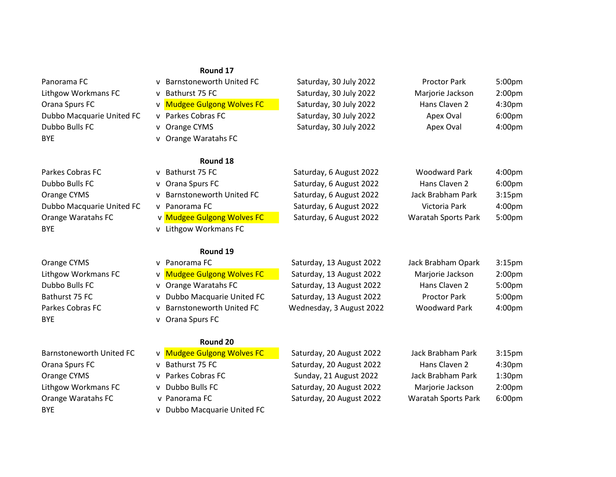## Round 17

| Panorama FC               | <b>Barnstoneworth United FC</b><br>v | Saturday, 30 July 2022   | <b>Proctor Park</b>        | 5:00 <sub>pm</sub> |
|---------------------------|--------------------------------------|--------------------------|----------------------------|--------------------|
| Lithgow Workmans FC       | Bathurst 75 FC<br>v                  | Saturday, 30 July 2022   | Marjorie Jackson           | 2:00 <sub>pm</sub> |
| Orana Spurs FC            | v Mudgee Gulgong Wolves FC           | Saturday, 30 July 2022   | Hans Claven 2              | 4:30pm             |
| Dubbo Macquarie United FC | v Parkes Cobras FC                   | Saturday, 30 July 2022   | Apex Oval                  | 6:00pm             |
| Dubbo Bulls FC            | v Orange CYMS                        | Saturday, 30 July 2022   | Apex Oval                  | 4:00pm             |
| <b>BYE</b>                | v Orange Waratahs FC                 |                          |                            |                    |
|                           | Round 18                             |                          |                            |                    |
| Parkes Cobras FC          | v Bathurst 75 FC                     | Saturday, 6 August 2022  | <b>Woodward Park</b>       | 4:00pm             |
| Dubbo Bulls FC            | v Orana Spurs FC                     | Saturday, 6 August 2022  | Hans Claven 2              | 6:00pm             |
| Orange CYMS               | <b>Barnstoneworth United FC</b><br>v | Saturday, 6 August 2022  | Jack Brabham Park          | 3:15 <sub>pm</sub> |
| Dubbo Macquarie United FC | v Panorama FC                        | Saturday, 6 August 2022  | Victoria Park              | 4:00pm             |
| Orange Waratahs FC        | v Mudgee Gulgong Wolves FC           | Saturday, 6 August 2022  | Waratah Sports Park        | 5:00pm             |
| <b>BYE</b>                | v Lithgow Workmans FC                |                          |                            |                    |
|                           | Round 19                             |                          |                            |                    |
| Orange CYMS               | v Panorama FC                        | Saturday, 13 August 2022 | Jack Brabham Opark         | 3:15 <sub>pm</sub> |
| Lithgow Workmans FC       | v Mudgee Gulgong Wolves FC           | Saturday, 13 August 2022 | Marjorie Jackson           | 2:00 <sub>pm</sub> |
| Dubbo Bulls FC            | v Orange Waratahs FC                 | Saturday, 13 August 2022 | Hans Claven 2              | 5:00pm             |
| Bathurst 75 FC            | Dubbo Macquarie United FC<br>v       | Saturday, 13 August 2022 | <b>Proctor Park</b>        | 5:00pm             |
| Parkes Cobras FC          | <b>Barnstoneworth United FC</b><br>v | Wednesday, 3 August 2022 | <b>Woodward Park</b>       | 4:00pm             |
| <b>BYE</b>                | Orana Spurs FC<br>v                  |                          |                            |                    |
|                           | Round 20                             |                          |                            |                    |
| Barnstoneworth United FC  | v Mudgee Gulgong Wolves FC           | Saturday, 20 August 2022 | Jack Brabham Park          | 3:15 <sub>pm</sub> |
| Orana Spurs FC            | v Bathurst 75 FC                     | Saturday, 20 August 2022 | Hans Claven 2              | 4:30 <sub>pm</sub> |
| Orange CYMS               | v Parkes Cobras FC                   | Sunday, 21 August 2022   | Jack Brabham Park          | 1:30 <sub>pm</sub> |
| Lithgow Workmans FC       | v Dubbo Bulls FC                     | Saturday, 20 August 2022 | Marjorie Jackson           | 2:00 <sub>pm</sub> |
| Orange Waratahs FC        | v Panorama FC                        | Saturday, 20 August 2022 | <b>Waratah Sports Park</b> | 6:00pm             |
| <b>BYE</b>                | Dubbo Macquarie United FC<br>V       |                          |                            |                    |